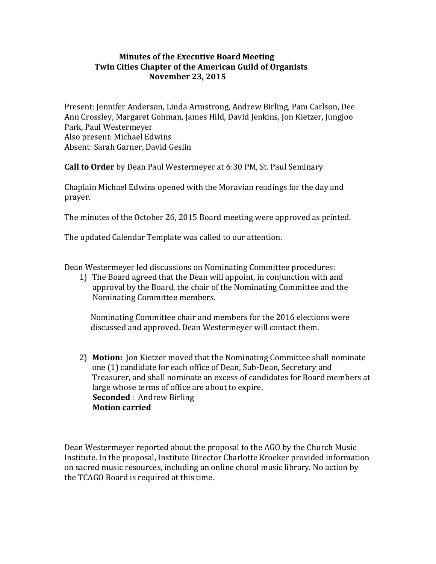## **Minutes of the Executive Board Meeting Twin Cities Chapter of the American Guild of Organists November 23, 2015**

Present: Jennifer Anderson, Linda Armstrong, Andrew Birling, Pam Carlson, Dee Ann Crossley, Margaret Gohman, James Hild, David Jenkins, Jon Kietzer, Jungjoo Park, Paul Westermeyer Also present: Michael Edwins Absent: Sarah Garner, David Geslin

**Call to Order** by Dean Paul Westermeyer at 6:30 PM, St. Paul Seminary

Chaplain Michael Edwins opened with the Moravian readings for the day and prayer.

The minutes of the October 26, 2015 Board meeting were approved as printed.

The updated Calendar Template was called to our attention.

Dean Westermeyer led discussions on Nominating Committee procedures:

1) The Board agreed that the Dean will appoint, in conjunction with and approval by the Board, the chair of the Nominating Committee and the Nominating Committee members.

Nominating Committee chair and members for the 2016 elections were discussed and approved. Dean Westermeyer will contact them.

2) **Motion:** Jon Kietzer moved that the Nominating Committee shall nominate one (1) candidate for each office of Dean, Sub-Dean, Secretary and Treasurer, and shall nominate an excess of candidates for Board members at large whose terms of office are about to expire. **Seconded** : Andrew Birling **Motion carried** 

Dean Westermeyer reported about the proposal to the AGO by the Church Music Institute. In the proposal, Institute Director Charlotte Kroeker provided information on sacred music resources, including an online choral music library. No action by the TCAGO Board is required at this time.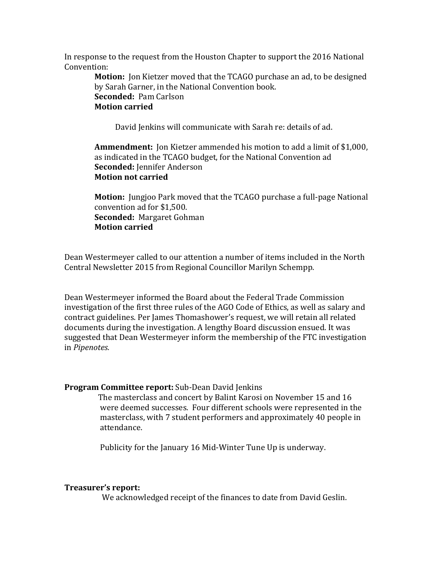In response to the request from the Houston Chapter to support the 2016 National Convention:

> **Motion:** Jon Kietzer moved that the TCAGO purchase an ad, to be designed by Sarah Garner, in the National Convention book. **Seconded: Pam Carlson Motion carried**

David Jenkins will communicate with Sarah re: details of ad.

**Ammendment:** Jon Kietzer ammended his motion to add a limit of \$1,000, as indicated in the TCAGO budget, for the National Convention ad **Seconded:** Jennifer Anderson **Motion not carried** 

**Motion:** Jungjoo Park moved that the TCAGO purchase a full-page National convention ad for \$1,500. **Seconded: Margaret Gohman Motion carried**

Dean Westermeyer called to our attention a number of items included in the North Central Newsletter 2015 from Regional Councillor Marilyn Schempp.

Dean Westermeyer informed the Board about the Federal Trade Commission investigation of the first three rules of the AGO Code of Ethics, as well as salary and contract guidelines. Per James Thomashower's request, we will retain all related documents during the investigation. A lengthy Board discussion ensued. It was suggested that Dean Westermeyer inform the membership of the FTC investigation in *Pipenotes.*

#### **Program Committee report:** Sub-Dean David Jenkins

The masterclass and concert by Balint Karosi on November 15 and 16 were deemed successes. Four different schools were represented in the masterclass, with 7 student performers and approximately 40 people in attendance. 

Publicity for the January 16 Mid-Winter Tune Up is underway.

#### **Treasurer's report:**

We acknowledged receipt of the finances to date from David Geslin.